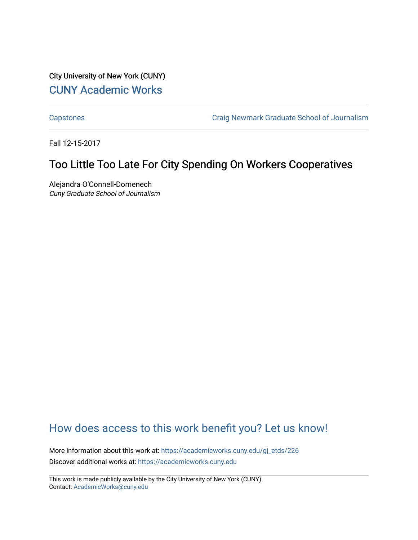City University of New York (CUNY) [CUNY Academic Works](https://academicworks.cuny.edu/) 

[Capstones](https://academicworks.cuny.edu/gj_etds) [Craig Newmark Graduate School of Journalism](https://academicworks.cuny.edu/gj) 

Fall 12-15-2017

## Too Little Too Late For City Spending On Workers Cooperatives

Alejandra O'Connell-Domenech Cuny Graduate School of Journalism

## [How does access to this work benefit you? Let us know!](http://ols.cuny.edu/academicworks/?ref=https://academicworks.cuny.edu/gj_etds/226)

More information about this work at: [https://academicworks.cuny.edu/gj\\_etds/226](https://academicworks.cuny.edu/gj_etds/226)  Discover additional works at: [https://academicworks.cuny.edu](https://academicworks.cuny.edu/?)

This work is made publicly available by the City University of New York (CUNY). Contact: [AcademicWorks@cuny.edu](mailto:AcademicWorks@cuny.edu)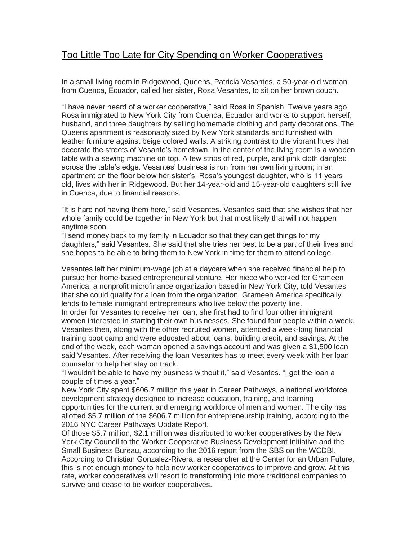## Too Little Too Late for City Spending on Worker Cooperatives

In a small living room in Ridgewood, Queens, Patricia Vesantes, a 50-year-old woman from Cuenca, Ecuador, called her sister, Rosa Vesantes, to sit on her brown couch.

"I have never heard of a worker cooperative," said Rosa in Spanish. Twelve years ago Rosa immigrated to New York City from Cuenca, Ecuador and works to support herself, husband, and three daughters by selling homemade clothing and party decorations. The Queens apartment is reasonably sized by New York standards and furnished with leather furniture against beige colored walls. A striking contrast to the vibrant hues that decorate the streets of Vesante's hometown. In the center of the living room is a wooden table with a sewing machine on top. A few strips of red, purple, and pink cloth dangled across the table's edge. Vesantes' business is run from her own living room; in an apartment on the floor below her sister's. Rosa's youngest daughter, who is 11 years old, lives with her in Ridgewood. But her 14-year-old and 15-year-old daughters still live in Cuenca, due to financial reasons.

"It is hard not having them here," said Vesantes. Vesantes said that she wishes that her whole family could be together in New York but that most likely that will not happen anytime soon.

"I send money back to my family in Ecuador so that they can get things for my daughters," said Vesantes. She said that she tries her best to be a part of their lives and she hopes to be able to bring them to New York in time for them to attend college.

Vesantes left her minimum-wage job at a daycare when she received financial help to pursue her home-based entrepreneurial venture. Her niece who worked for Grameen America, a nonprofit microfinance organization based in New York City, told Vesantes that she could qualify for a loan from the organization. Grameen America specifically lends to female immigrant entrepreneurs who live below the poverty line.

In order for Vesantes to receive her loan, she first had to find four other immigrant women interested in starting their own businesses. She found four people within a week. Vesantes then, along with the other recruited women, attended a week-long financial training boot camp and were educated about loans, building credit, and savings. At the end of the week, each woman opened a savings account and was given a \$1,500 loan said Vesantes. After receiving the loan Vesantes has to meet every week with her loan counselor to help her stay on track.

"I wouldn't be able to have my business without it," said Vesantes. "I get the loan a couple of times a year."

New York City spent \$606.7 million this year in Career Pathways, a national workforce development strategy designed to increase education, training, and learning opportunities for the current and emerging workforce of men and women. The city has allotted \$5.7 million of the \$606.7 million for entrepreneurship training, according to the 2016 NYC Career Pathways Update Report.

Of those \$5.7 million, \$2.1 million was distributed to worker cooperatives by the New York City Council to the Worker Cooperative Business Development Initiative and the Small Business Bureau, according to the 2016 report from the SBS on the WCDBI. According to Christian Gonzalez-Rivera, a researcher at the Center for an Urban Future, this is not enough money to help new worker cooperatives to improve and grow. At this rate, worker cooperatives will resort to transforming into more traditional companies to survive and cease to be worker cooperatives.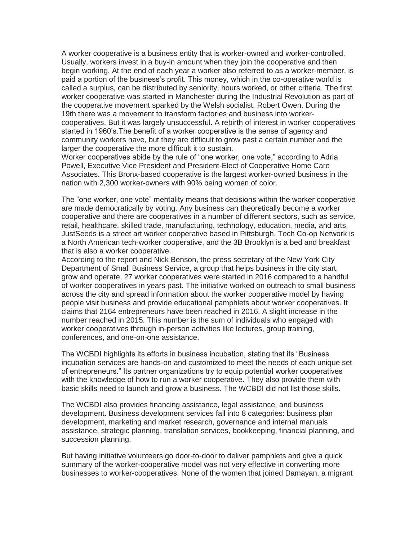A worker cooperative is a business entity that is worker-owned and worker-controlled. Usually, workers invest in a buy-in amount when they join the cooperative and then begin working. At the end of each year a worker also referred to as a worker-member, is paid a portion of the business's profit. This money, which in the co-operative world is called a surplus, can be distributed by seniority, hours worked, or other criteria. The first worker cooperative was started in Manchester during the Industrial Revolution as part of the cooperative movement sparked by the Welsh socialist, Robert Owen. During the 19th there was a movement to transform factories and business into workercooperatives. But it was largely unsuccessful. A rebirth of interest in worker cooperatives started in 1960's.The benefit of a worker cooperative is the sense of agency and community workers have, but they are difficult to grow past a certain number and the larger the cooperative the more difficult it to sustain.

Worker cooperatives abide by the rule of "one worker, one vote," according to Adria Powell, Executive Vice President and President-Elect of Cooperative Home Care Associates. This Bronx-based cooperative is the largest worker-owned business in the nation with 2,300 worker-owners with 90% being women of color.

The "one worker, one vote" mentality means that decisions within the worker cooperative are made democratically by voting. Any business can theoretically become a worker cooperative and there are cooperatives in a number of different sectors, such as service, retail, healthcare, skilled trade, manufacturing, technology, education, media, and arts. JustSeeds is a street art worker cooperative based in Pittsburgh, Tech Co-op Network is a North American tech-worker cooperative, and the 3B Brooklyn is a bed and breakfast that is also a worker cooperative.

According to the report and Nick Benson, the press secretary of the New York City Department of Small Business Service, a group that helps business in the city start, grow and operate, 27 worker cooperatives were started in 2016 compared to a handful of worker cooperatives in years past. The initiative worked on outreach to small business across the city and spread information about the worker cooperative model by having people visit business and provide educational pamphlets about worker cooperatives. It claims that 2164 entrepreneurs have been reached in 2016. A slight increase in the number reached in 2015. This number is the sum of individuals who engaged with worker cooperatives through in-person activities like lectures, group training, conferences, and one-on-one assistance.

The WCBDI highlights its efforts in business incubation, stating that its "Business incubation services are hands-on and customized to meet the needs of each unique set of entrepreneurs." Its partner organizations try to equip potential worker cooperatives with the knowledge of how to run a worker cooperative. They also provide them with basic skills need to launch and grow a business. The WCBDI did not list those skills.

The WCBDI also provides financing assistance, legal assistance, and business development. Business development services fall into 8 categories: business plan development, marketing and market research, governance and internal manuals assistance, strategic planning, translation services, bookkeeping, financial planning, and succession planning.

But having initiative volunteers go door-to-door to deliver pamphlets and give a quick summary of the worker-cooperative model was not very effective in converting more businesses to worker-cooperatives. None of the women that joined Damayan, a migrant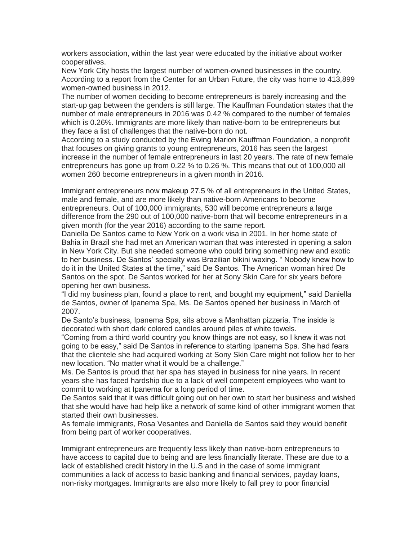workers association, within the last year were educated by the initiative about worker cooperatives.

New York City hosts the largest number of women-owned businesses in the country. According to a report from the Center for an Urban Future, the city was home to 413,899 women-owned business in 2012.

The number of women deciding to become entrepreneurs is barely increasing and the start-up gap between the genders is still large. The Kauffman Foundation states that the number of male entrepreneurs in 2016 was 0.42 % compared to the number of females which is 0.26%. Immigrants are more likely than native-born to be entrepreneurs but they face a list of challenges that the native-born do not.

According to a study conducted by the Ewing Marion Kauffman Foundation, a nonprofit that focuses on giving grants to young entrepreneurs, 2016 has seen the largest increase in the number of female entrepreneurs in last 20 years. The rate of new female entrepreneurs has gone up from 0.22 % to 0.26 %. This means that out of 100,000 all women 260 become entrepreneurs in a given month in 2016.

Immigrant entrepreneurs now makeup 27.5 % of all entrepreneurs in the United States, male and female, and are more likely than native-born Americans to become entrepreneurs. Out of 100,000 immigrants, 530 will become entrepreneurs a large difference from the 290 out of 100,000 native-born that will become entrepreneurs in a given month (for the year 2016) according to the same report.

Daniella De Santos came to New York on a work visa in 2001. In her home state of Bahia in Brazil she had met an American woman that was interested in opening a salon in New York City. But she needed someone who could bring something new and exotic to her business. De Santos' specialty was Brazilian bikini waxing. " Nobody knew how to do it in the United States at the time," said De Santos. The American woman hired De Santos on the spot. De Santos worked for her at Sony Skin Care for six years before opening her own business.

"I did my business plan, found a place to rent, and bought my equipment," said Daniella de Santos, owner of Ipanema Spa, Ms. De Santos opened her business in March of 2007.

De Santo's business, Ipanema Spa, sits above a Manhattan pizzeria. The inside is decorated with short dark colored candles around piles of white towels.

"Coming from a third world country you know things are not easy, so I knew it was not going to be easy," said De Santos in reference to starting Ipanema Spa. She had fears that the clientele she had acquired working at Sony Skin Care might not follow her to her new location. "No matter what it would be a challenge."

Ms. De Santos is proud that her spa has stayed in business for nine years. In recent years she has faced hardship due to a lack of well competent employees who want to commit to working at Ipanema for a long period of time.

De Santos said that it was difficult going out on her own to start her business and wished that she would have had help like a network of some kind of other immigrant women that started their own businesses.

As female immigrants, Rosa Vesantes and Daniella de Santos said they would benefit from being part of worker cooperatives.

Immigrant entrepreneurs are frequently less likely than native-born entrepreneurs to have access to capital due to being and are less financially literate. These are due to a lack of established credit history in the U.S and in the case of some immigrant communities a lack of access to basic banking and financial services, payday loans, non-risky mortgages. Immigrants are also more likely to fall prey to poor financial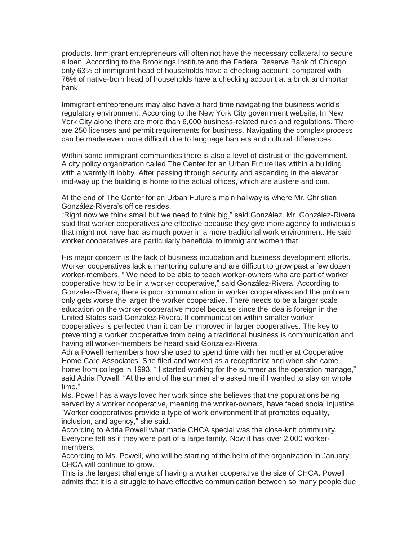products. Immigrant entrepreneurs will often not have the necessary collateral to secure a loan. According to the Brookings Institute and the Federal Reserve Bank of Chicago, only 63% of immigrant head of households have a checking account, compared with 76% of native-born head of households have a checking account at a brick and mortar bank.

Immigrant entrepreneurs may also have a hard time navigating the business world's regulatory environment. According to the New York City government website, In New York City alone there are more than 6,000 business-related rules and regulations. There are 250 licenses and permit requirements for business. Navigating the complex process can be made even more difficult due to language barriers and cultural differences.

Within some immigrant communities there is also a level of distrust of the government. A city policy organization called The Center for an Urban Future lies within a building with a warmly lit lobby. After passing through security and ascending in the elevator, mid-way up the building is home to the actual offices, which are austere and dim.

At the end of The Center for an Urban Future's main hallway is where Mr. Christian González-Rivera's office resides.

"Right now we think small but we need to think big," said González. Mr. González-Rivera said that worker cooperatives are effective because they give more agency to individuals that might not have had as much power in a more traditional work environment. He said worker cooperatives are particularly beneficial to immigrant women that

His major concern is the lack of business incubation and business development efforts. Worker cooperatives lack a mentoring culture and are difficult to grow past a few dozen worker-members. " We need to be able to teach worker-owners who are part of worker cooperative how to be in a worker cooperative," said González-Rivera. According to Gonzalez-Rivera, there is poor communication in worker cooperatives and the problem only gets worse the larger the worker cooperative. There needs to be a larger scale education on the worker-cooperative model because since the idea is foreign in the United States said Gonzalez-Rivera. If communication within smaller worker cooperatives is perfected than it can be improved in larger cooperatives. The key to preventing a worker cooperative from being a traditional business is communication and having all worker-members be heard said Gonzalez-Rivera.

Adria Powell remembers how she used to spend time with her mother at Cooperative Home Care Associates. She filed and worked as a receptionist and when she came home from college in 1993. " I started working for the summer as the operation manage," said Adria Powell. "At the end of the summer she asked me if I wanted to stay on whole time."

Ms. Powell has always loved her work since she believes that the populations being served by a worker cooperative, meaning the worker-owners, have faced social injustice. "Worker cooperatives provide a type of work environment that promotes equality, inclusion, and agency," she said.

According to Adria Powell what made CHCA special was the close-knit community. Everyone felt as if they were part of a large family. Now it has over 2,000 workermembers.

According to Ms. Powell, who will be starting at the helm of the organization in January, CHCA will continue to grow.

This is the largest challenge of having a worker cooperative the size of CHCA. Powell admits that it is a struggle to have effective communication between so many people due